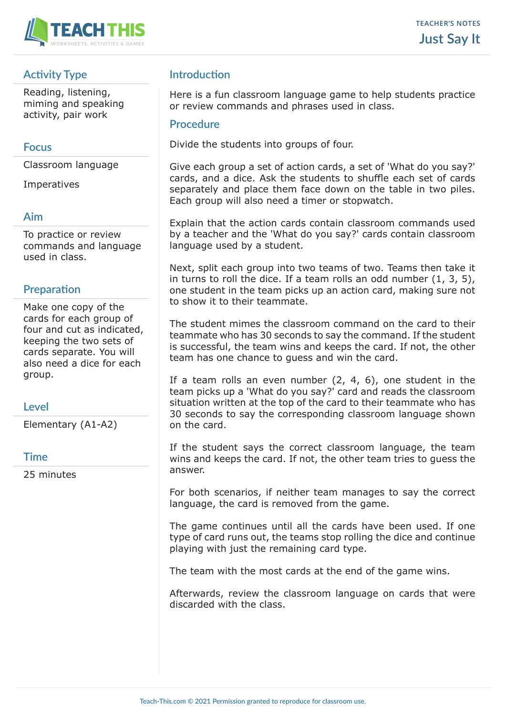

# **Activity Type**

Reading, listening, miming and speaking activity, pair work

### **Focus**

Classroom language

Imperatives

#### **Aim**

To practice or review commands and language used in class.

## **Preparation**

Make one copy of the cards for each group of four and cut as indicated, keeping the two sets of cards separate. You will also need a dice for each group.

#### **Level**

Elementary (A1-A2)

#### **Time**

25 minutes

# **Introduction**

Here is a fun classroom language game to help students practice or review commands and phrases used in class.

#### **Procedure**

Divide the students into groups of four.

Give each group a set of action cards, a set of 'What do you say?' cards, and a dice. Ask the students to shuffle each set of cards separately and place them face down on the table in two piles. Each group will also need a timer or stopwatch.

Explain that the action cards contain classroom commands used by a teacher and the 'What do you say?' cards contain classroom language used by a student.

Next, split each group into two teams of two. Teams then take it in turns to roll the dice. If a team rolls an odd number  $(1, 3, 5)$ , one student in the team picks up an action card, making sure not to show it to their teammate.

The student mimes the classroom command on the card to their teammate who has 30 seconds to say the command. If the student is successful, the team wins and keeps the card. If not, the other team has one chance to guess and win the card.

If a team rolls an even number  $(2, 4, 6)$ , one student in the team picks up a 'What do you say?' card and reads the classroom situation written at the top of the card to their teammate who has 30 seconds to say the corresponding classroom language shown on the card.

If the student says the correct classroom language, the team wins and keeps the card. If not, the other team tries to guess the answer.

For both scenarios, if neither team manages to say the correct language, the card is removed from the game.

The game continues until all the cards have been used. If one type of card runs out, the teams stop rolling the dice and continue playing with just the remaining card type.

The team with the most cards at the end of the game wins.

Afterwards, review the classroom language on cards that were discarded with the class.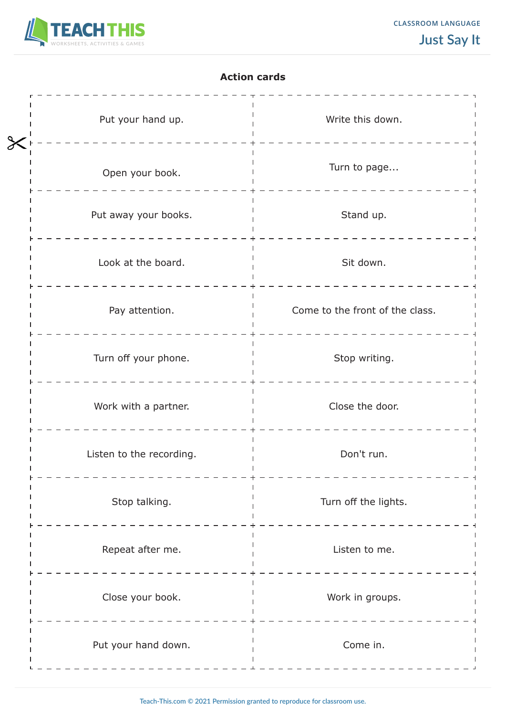

#### **Action cards**

| Put your hand up.        | Write this down.                |
|--------------------------|---------------------------------|
| Open your book.          | Turn to page                    |
| Put away your books.     | Stand up.                       |
| Look at the board.       | Sit down.                       |
| Pay attention.           | Come to the front of the class. |
| Turn off your phone.     | Stop writing.                   |
| Work with a partner.     | Close the door.                 |
| Listen to the recording. | Don't run.                      |
| Stop talking.            | Turn off the lights.            |
| Repeat after me.         | Listen to me.                   |
| Close your book.         | Work in groups.                 |
| Put your hand down.      | Come in.                        |